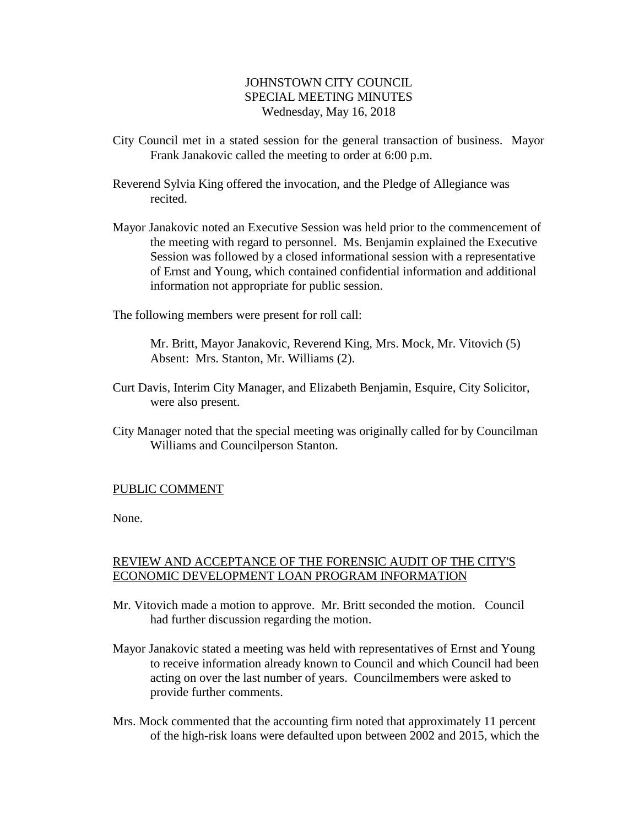## JOHNSTOWN CITY COUNCIL SPECIAL MEETING MINUTES Wednesday, May 16, 2018

- City Council met in a stated session for the general transaction of business. Mayor Frank Janakovic called the meeting to order at 6:00 p.m.
- Reverend Sylvia King offered the invocation, and the Pledge of Allegiance was recited.
- Mayor Janakovic noted an Executive Session was held prior to the commencement of the meeting with regard to personnel. Ms. Benjamin explained the Executive Session was followed by a closed informational session with a representative of Ernst and Young, which contained confidential information and additional information not appropriate for public session.

The following members were present for roll call:

Mr. Britt, Mayor Janakovic, Reverend King, Mrs. Mock, Mr. Vitovich (5) Absent: Mrs. Stanton, Mr. Williams (2).

- Curt Davis, Interim City Manager, and Elizabeth Benjamin, Esquire, City Solicitor, were also present.
- City Manager noted that the special meeting was originally called for by Councilman Williams and Councilperson Stanton.

## PUBLIC COMMENT

None.

## REVIEW AND ACCEPTANCE OF THE FORENSIC AUDIT OF THE CITY'S ECONOMIC DEVELOPMENT LOAN PROGRAM INFORMATION

- Mr. Vitovich made a motion to approve. Mr. Britt seconded the motion. Council had further discussion regarding the motion.
- Mayor Janakovic stated a meeting was held with representatives of Ernst and Young to receive information already known to Council and which Council had been acting on over the last number of years. Councilmembers were asked to provide further comments.
- Mrs. Mock commented that the accounting firm noted that approximately 11 percent of the high-risk loans were defaulted upon between 2002 and 2015, which the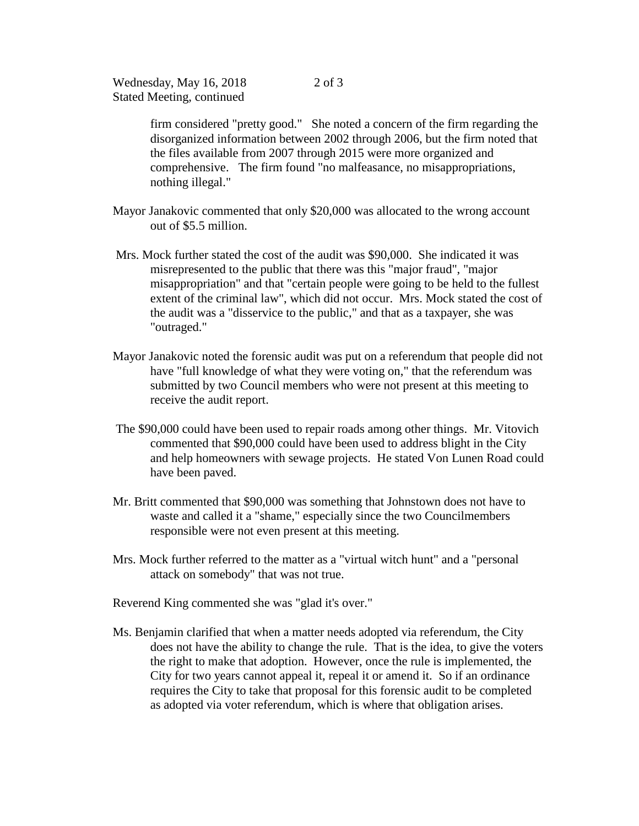Wednesday, May 16, 2018 Stated Meeting, continued

> firm considered "pretty good." She noted a concern of the firm regarding the disorganized information between 2002 through 2006, but the firm noted that the files available from 2007 through 2015 were more organized and comprehensive. The firm found "no malfeasance, no misappropriations, nothing illegal."

- Mayor Janakovic commented that only \$20,000 was allocated to the wrong account out of \$5.5 million.
- Mrs. Mock further stated the cost of the audit was \$90,000. She indicated it was misrepresented to the public that there was this "major fraud", "major misappropriation" and that "certain people were going to be held to the fullest extent of the criminal law", which did not occur. Mrs. Mock stated the cost of the audit was a "disservice to the public," and that as a taxpayer, she was "outraged."
- Mayor Janakovic noted the forensic audit was put on a referendum that people did not have "full knowledge of what they were voting on," that the referendum was submitted by two Council members who were not present at this meeting to receive the audit report.
- The \$90,000 could have been used to repair roads among other things. Mr. Vitovich commented that \$90,000 could have been used to address blight in the City and help homeowners with sewage projects. He stated Von Lunen Road could have been paved.
- Mr. Britt commented that \$90,000 was something that Johnstown does not have to waste and called it a "shame," especially since the two Councilmembers responsible were not even present at this meeting.
- Mrs. Mock further referred to the matter as a "virtual witch hunt" and a "personal attack on somebody" that was not true.
- Reverend King commented she was "glad it's over."
- Ms. Benjamin clarified that when a matter needs adopted via referendum, the City does not have the ability to change the rule. That is the idea, to give the voters the right to make that adoption. However, once the rule is implemented, the City for two years cannot appeal it, repeal it or amend it. So if an ordinance requires the City to take that proposal for this forensic audit to be completed as adopted via voter referendum, which is where that obligation arises.